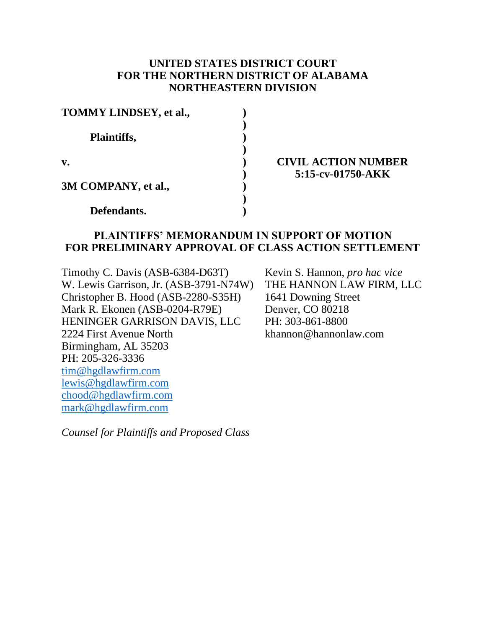## **UNITED STATES DISTRICT COURT FOR THE NORTHERN DISTRICT OF ALABAMA NORTHEASTERN DIVISION**

| TOMMY LINDSEY, et al., |  |
|------------------------|--|
| Plaintiffs,            |  |
| v.                     |  |
| 3M COMPANY, et al.,    |  |
| Defendants.            |  |

## **CIVIL ACTION NUMBER 5:15-cv-01750-AKK**

## **PLAINTIFFS' MEMORANDUM IN SUPPORT OF MOTION FOR PRELIMINARY APPROVAL OF CLASS ACTION SETTLEMENT**

Timothy C. Davis (ASB-6384-D63T) W. Lewis Garrison, Jr. (ASB-3791-N74W) Christopher B. Hood (ASB-2280-S35H) Mark R. Ekonen (ASB-0204-R79E) HENINGER GARRISON DAVIS, LLC 2224 First Avenue North Birmingham, AL 35203 PH: 205-326-3336 [tim@hgdlawfirm.com](mailto:tim@hgdlawfirm.com) [lewis@hgdlawfirm.com](mailto:lewis@hgdlawfirm.com) [chood@hgdlawfirm.com](mailto:chood@hgdlawfirm.com) [mark@hgdlawfirm.com](mailto:mark@hgdlawfirm.com)

Kevin S. Hannon, *pro hac vice* THE HANNON LAW FIRM, LLC 1641 Downing Street Denver, CO 80218 PH: 303-861-8800 khannon@hannonlaw.com

*Counsel for Plaintiffs and Proposed Class*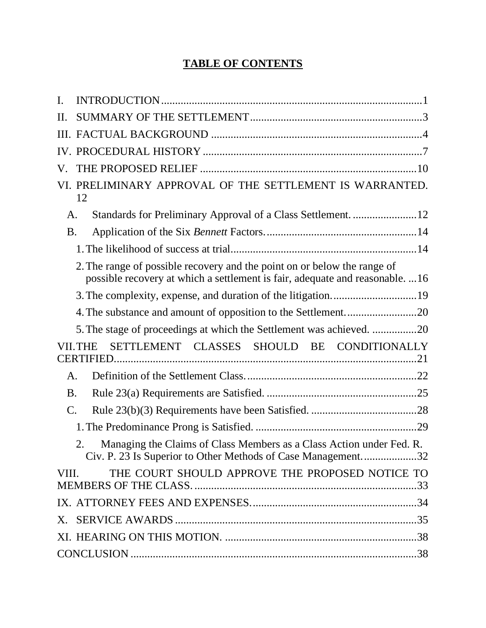## **TABLE OF CONTENTS**

| I.              |                                                                                                                                                          |
|-----------------|----------------------------------------------------------------------------------------------------------------------------------------------------------|
| H.              |                                                                                                                                                          |
|                 |                                                                                                                                                          |
|                 |                                                                                                                                                          |
| V.              |                                                                                                                                                          |
|                 | VI. PRELIMINARY APPROVAL OF THE SETTLEMENT IS WARRANTED.<br>12                                                                                           |
| A.              |                                                                                                                                                          |
| <b>B.</b>       |                                                                                                                                                          |
|                 |                                                                                                                                                          |
|                 | 2. The range of possible recovery and the point on or below the range of<br>possible recovery at which a settlement is fair, adequate and reasonable. 16 |
|                 |                                                                                                                                                          |
|                 | 4. The substance and amount of opposition to the Settlement20                                                                                            |
|                 | 5. The stage of proceedings at which the Settlement was achieved. 20                                                                                     |
|                 | SETTLEMENT CLASSES SHOULD BE CONDITIONALLY<br><b>VII.THE</b>                                                                                             |
| A.              |                                                                                                                                                          |
| <b>B.</b>       |                                                                                                                                                          |
| $\mathcal{C}$ . |                                                                                                                                                          |
|                 |                                                                                                                                                          |
|                 | Managing the Claims of Class Members as a Class Action under Fed. R.<br>2.<br>Civ. P. 23 Is Superior to Other Methods of Case Management32               |
| VIII.           | THE COURT SHOULD APPROVE THE PROPOSED NOTICE TO                                                                                                          |
|                 |                                                                                                                                                          |
|                 |                                                                                                                                                          |
|                 |                                                                                                                                                          |
|                 |                                                                                                                                                          |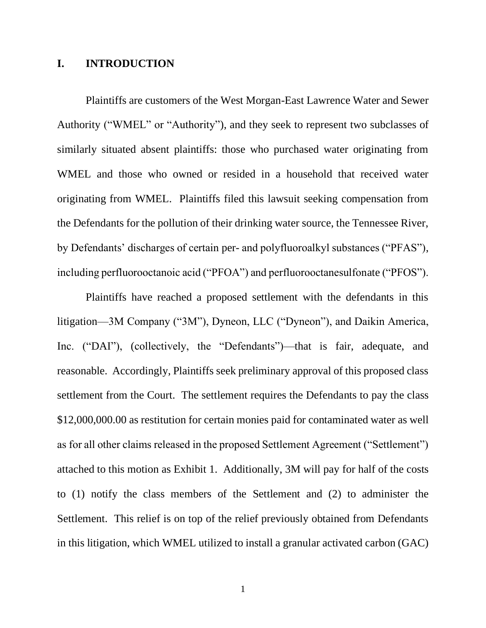### **I. INTRODUCTION**

Plaintiffs are customers of the West Morgan-East Lawrence Water and Sewer Authority ("WMEL" or "Authority"), and they seek to represent two subclasses of similarly situated absent plaintiffs: those who purchased water originating from WMEL and those who owned or resided in a household that received water originating from WMEL. Plaintiffs filed this lawsuit seeking compensation from the Defendants for the pollution of their drinking water source, the Tennessee River, by Defendants' discharges of certain per- and polyfluoroalkyl substances ("PFAS"), including perfluorooctanoic acid ("PFOA") and perfluorooctanesulfonate ("PFOS").

Plaintiffs have reached a proposed settlement with the defendants in this litigation—3M Company ("3M"), Dyneon, LLC ("Dyneon"), and Daikin America, Inc. ("DAI"), (collectively, the "Defendants")—that is fair, adequate, and reasonable. Accordingly, Plaintiffs seek preliminary approval of this proposed class settlement from the Court. The settlement requires the Defendants to pay the class \$12,000,000.00 as restitution for certain monies paid for contaminated water as well as for all other claims released in the proposed Settlement Agreement ("Settlement") attached to this motion as Exhibit 1. Additionally, 3M will pay for half of the costs to (1) notify the class members of the Settlement and (2) to administer the Settlement. This relief is on top of the relief previously obtained from Defendants in this litigation, which WMEL utilized to install a granular activated carbon (GAC)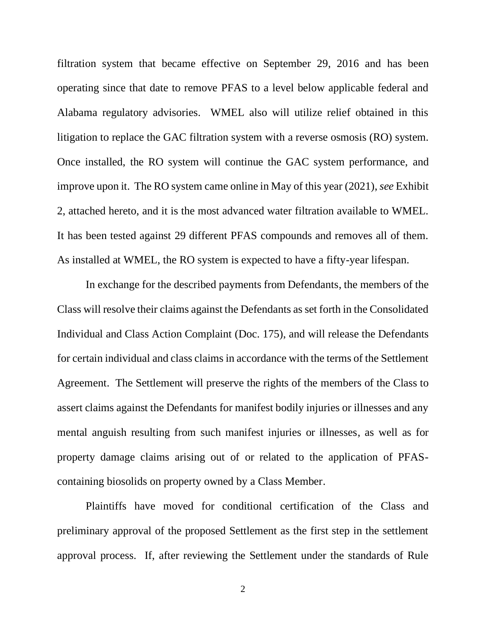filtration system that became effective on September 29, 2016 and has been operating since that date to remove PFAS to a level below applicable federal and Alabama regulatory advisories. WMEL also will utilize relief obtained in this litigation to replace the GAC filtration system with a reverse osmosis (RO) system. Once installed, the RO system will continue the GAC system performance, and improve upon it. The RO system came online in May of this year (2021), *see* Exhibit 2, attached hereto, and it is the most advanced water filtration available to WMEL. It has been tested against 29 different PFAS compounds and removes all of them. As installed at WMEL, the RO system is expected to have a fifty-year lifespan.

In exchange for the described payments from Defendants, the members of the Class will resolve their claims against the Defendants as set forth in the Consolidated Individual and Class Action Complaint (Doc. 175), and will release the Defendants for certain individual and class claims in accordance with the terms of the Settlement Agreement. The Settlement will preserve the rights of the members of the Class to assert claims against the Defendants for manifest bodily injuries or illnesses and any mental anguish resulting from such manifest injuries or illnesses, as well as for property damage claims arising out of or related to the application of PFAScontaining biosolids on property owned by a Class Member.

Plaintiffs have moved for conditional certification of the Class and preliminary approval of the proposed Settlement as the first step in the settlement approval process. If, after reviewing the Settlement under the standards of Rule

2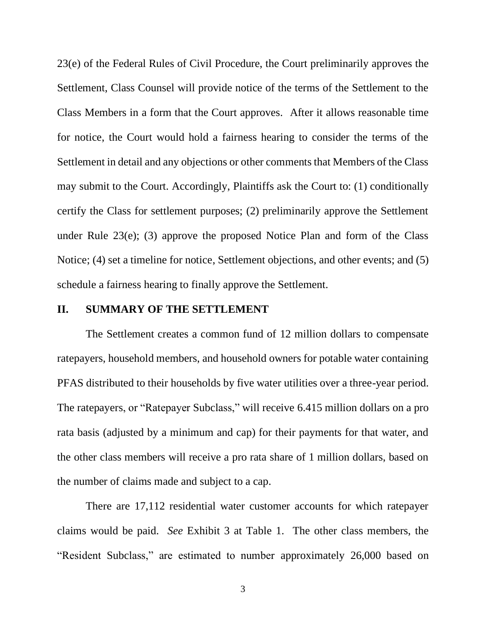23(e) of the Federal Rules of Civil Procedure, the Court preliminarily approves the Settlement, Class Counsel will provide notice of the terms of the Settlement to the Class Members in a form that the Court approves. After it allows reasonable time for notice, the Court would hold a fairness hearing to consider the terms of the Settlement in detail and any objections or other comments that Members of the Class may submit to the Court. Accordingly, Plaintiffs ask the Court to: (1) conditionally certify the Class for settlement purposes; (2) preliminarily approve the Settlement under Rule 23(e); (3) approve the proposed Notice Plan and form of the Class Notice; (4) set a timeline for notice, Settlement objections, and other events; and (5) schedule a fairness hearing to finally approve the Settlement.

#### **II. SUMMARY OF THE SETTLEMENT**

The Settlement creates a common fund of 12 million dollars to compensate ratepayers, household members, and household owners for potable water containing PFAS distributed to their households by five water utilities over a three-year period. The ratepayers, or "Ratepayer Subclass," will receive 6.415 million dollars on a pro rata basis (adjusted by a minimum and cap) for their payments for that water, and the other class members will receive a pro rata share of 1 million dollars, based on the number of claims made and subject to a cap.

There are 17,112 residential water customer accounts for which ratepayer claims would be paid. *See* Exhibit 3 at Table 1. The other class members, the "Resident Subclass," are estimated to number approximately 26,000 based on

3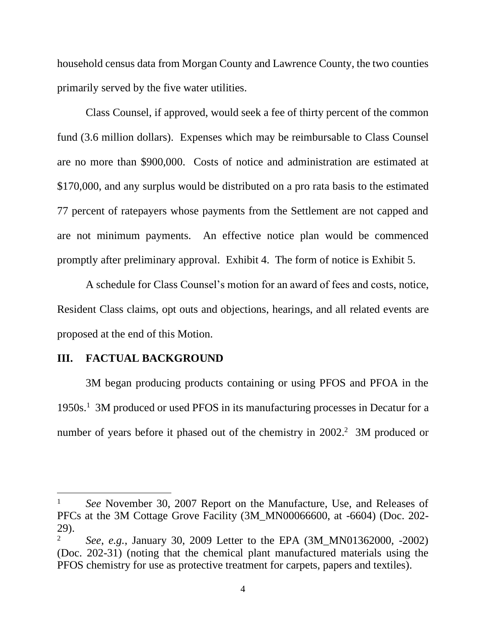household census data from Morgan County and Lawrence County, the two counties primarily served by the five water utilities.

Class Counsel, if approved, would seek a fee of thirty percent of the common fund (3.6 million dollars). Expenses which may be reimbursable to Class Counsel are no more than \$900,000. Costs of notice and administration are estimated at \$170,000, and any surplus would be distributed on a pro rata basis to the estimated 77 percent of ratepayers whose payments from the Settlement are not capped and are not minimum payments. An effective notice plan would be commenced promptly after preliminary approval. Exhibit 4. The form of notice is Exhibit 5.

 A schedule for Class Counsel's motion for an award of fees and costs, notice, Resident Class claims, opt outs and objections, hearings, and all related events are proposed at the end of this Motion.

#### **III. FACTUAL BACKGROUND**

3M began producing products containing or using PFOS and PFOA in the 1950s.<sup>1</sup> 3M produced or used PFOS in its manufacturing processes in Decatur for a number of years before it phased out of the chemistry in 2002.<sup>2</sup> 3M produced or

<sup>&</sup>lt;sup>1</sup> *See* November 30, 2007 Report on the Manufacture, Use, and Releases of PFCs at the 3M Cottage Grove Facility (3M\_MN00066600, at -6604) (Doc. 202- 29).

<sup>2</sup> *See*, *e.g.*, January 30, 2009 Letter to the EPA (3M\_MN01362000, -2002) (Doc. 202-31) (noting that the chemical plant manufactured materials using the PFOS chemistry for use as protective treatment for carpets, papers and textiles).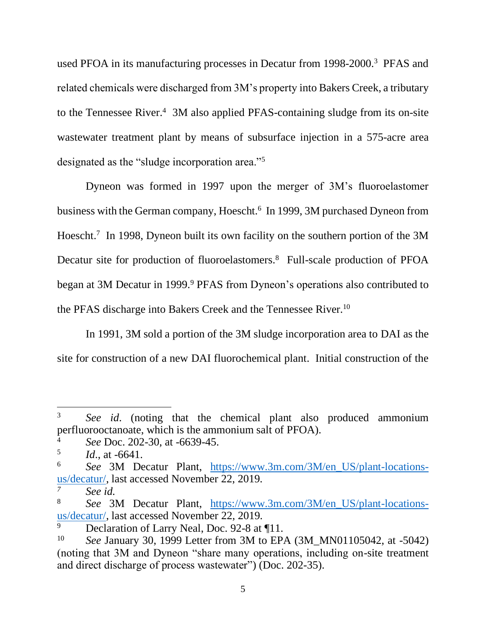used PFOA in its manufacturing processes in Decatur from 1998-2000.<sup>3</sup> PFAS and related chemicals were discharged from 3M's property into Bakers Creek, a tributary to the Tennessee River.<sup>4</sup> 3M also applied PFAS-containing sludge from its on-site wastewater treatment plant by means of subsurface injection in a 575-acre area designated as the "sludge incorporation area."<sup>5</sup>

Dyneon was formed in 1997 upon the merger of 3M's fluoroelastomer business with the German company, Hoescht.<sup>6</sup> In 1999, 3M purchased Dyneon from Hoescht. 7 In 1998, Dyneon built its own facility on the southern portion of the 3M Decatur site for production of fluoroelastomers.<sup>8</sup> Full-scale production of PFOA began at 3M Decatur in 1999.<sup>9</sup> PFAS from Dyneon's operations also contributed to the PFAS discharge into Bakers Creek and the Tennessee River.<sup>10</sup>

In 1991, 3M sold a portion of the 3M sludge incorporation area to DAI as the site for construction of a new DAI fluorochemical plant. Initial construction of the

<sup>3</sup> *See id*. (noting that the chemical plant also produced ammonium perfluorooctanoate, which is the ammonium salt of PFOA).

<sup>4</sup> *See* Doc. 202-30, at -6639-45.

<sup>5</sup> *Id*., at -6641.

<sup>6</sup> *See* 3M Decatur Plant, [https://www.3m.com/3M/en\\_US/plant-locations](https://www.3m.com/3M/en_US/plant-locations-us/decatur/)[us/decatur/,](https://www.3m.com/3M/en_US/plant-locations-us/decatur/) last accessed November 22, 2019.

*<sup>7</sup> See id.*

<sup>8</sup> *See* 3M Decatur Plant, [https://www.3m.com/3M/en\\_US/plant-locations](https://www.3m.com/3M/en_US/plant-locations-us/decatur/)[us/decatur/,](https://www.3m.com/3M/en_US/plant-locations-us/decatur/) last accessed November 22, 2019.

Declaration of Larry Neal, Doc. 92-8 at ¶11.

<sup>10</sup> *See* January 30, 1999 Letter from 3M to EPA (3M\_MN01105042, at -5042) (noting that 3M and Dyneon "share many operations, including on-site treatment and direct discharge of process wastewater") (Doc. 202-35).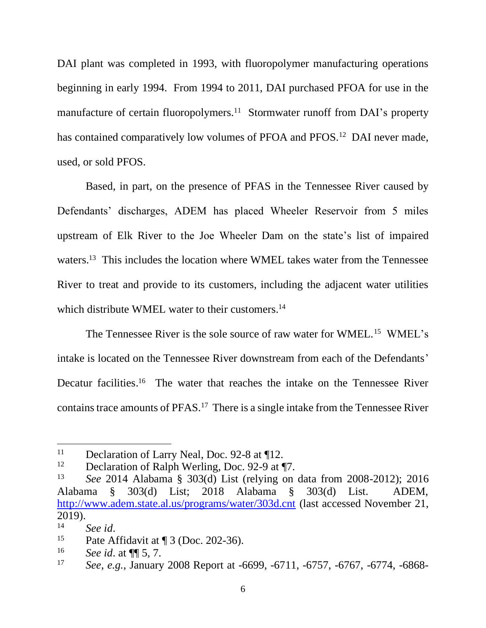DAI plant was completed in 1993, with fluoropolymer manufacturing operations beginning in early 1994. From 1994 to 2011, DAI purchased PFOA for use in the manufacture of certain fluoropolymers.<sup>11</sup> Stormwater runoff from DAI's property has contained comparatively low volumes of PFOA and PFOS.<sup>12</sup> DAI never made, used, or sold PFOS.

Based, in part, on the presence of PFAS in the Tennessee River caused by Defendants' discharges, ADEM has placed Wheeler Reservoir from 5 miles upstream of Elk River to the Joe Wheeler Dam on the state's list of impaired waters.<sup>13</sup> This includes the location where WMEL takes water from the Tennessee River to treat and provide to its customers, including the adjacent water utilities which distribute WMEL water to their customers.<sup>14</sup>

The Tennessee River is the sole source of raw water for WMEL.<sup>15</sup> WMEL's intake is located on the Tennessee River downstream from each of the Defendants' Decatur facilities.<sup>16</sup> The water that reaches the intake on the Tennessee River contains trace amounts of PFAS.<sup>17</sup> There is a single intake from the Tennessee River

<sup>&</sup>lt;sup>11</sup> Declaration of Larry Neal, Doc. 92-8 at ¶12.

<sup>&</sup>lt;sup>12</sup> Declaration of Ralph Werling, Doc. 92-9 at  $\P$ 7.

<sup>13</sup> *See* 2014 Alabama § 303(d) List (relying on data from 2008-2012); 2016 Alabama § 303(d) List; 2018 Alabama § 303(d) List. ADEM, <http://www.adem.state.al.us/programs/water/303d.cnt> (last accessed November 21, 2019).

<sup>14</sup> *See id*.

<sup>&</sup>lt;sup>15</sup> Pate Affidavit at  $\P$  3 (Doc. 202-36).

<sup>16</sup> *See id*. at ¶¶ 5, 7.

<sup>17</sup> *See*, *e.g.*, January 2008 Report at -6699, -6711, -6757, -6767, -6774, -6868-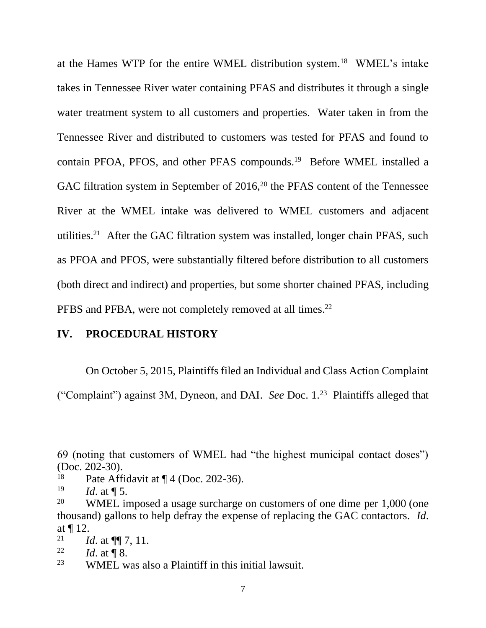at the Hames WTP for the entire WMEL distribution system.<sup>18</sup> WMEL's intake takes in Tennessee River water containing PFAS and distributes it through a single water treatment system to all customers and properties. Water taken in from the Tennessee River and distributed to customers was tested for PFAS and found to contain PFOA, PFOS, and other PFAS compounds.<sup>19</sup> Before WMEL installed a GAC filtration system in September of  $2016$ ,<sup>20</sup> the PFAS content of the Tennessee River at the WMEL intake was delivered to WMEL customers and adjacent utilities.<sup>21</sup> After the GAC filtration system was installed, longer chain PFAS, such as PFOA and PFOS, were substantially filtered before distribution to all customers (both direct and indirect) and properties, but some shorter chained PFAS, including PFBS and PFBA, were not completely removed at all times.<sup>22</sup>

### **IV. PROCEDURAL HISTORY**

On October 5, 2015, Plaintiffs filed an Individual and Class Action Complaint

("Complaint") against 3M, Dyneon, and DAI. *See* Doc. 1.<sup>23</sup> Plaintiffs alleged that

<sup>69 (</sup>noting that customers of WMEL had "the highest municipal contact doses") (Doc. 202-30).

<sup>&</sup>lt;sup>18</sup> Pate Affidavit at  $\P$  4 (Doc. 202-36).<br><sup>19</sup> *Id.* at  $\P$  5

*Id.* at **1** 5.

<sup>&</sup>lt;sup>20</sup> WMEL imposed a usage surcharge on customers of one dime per 1,000 (one thousand) gallons to help defray the expense of replacing the GAC contactors. *Id*. at ¶ 12.

<sup>&</sup>lt;sup>21</sup> *Id.* at  $\P\P$  7, 11.

<sup>&</sup>lt;sup>22</sup> *Id.* at ¶ 8.

<sup>23</sup> WMEL was also a Plaintiff in this initial lawsuit.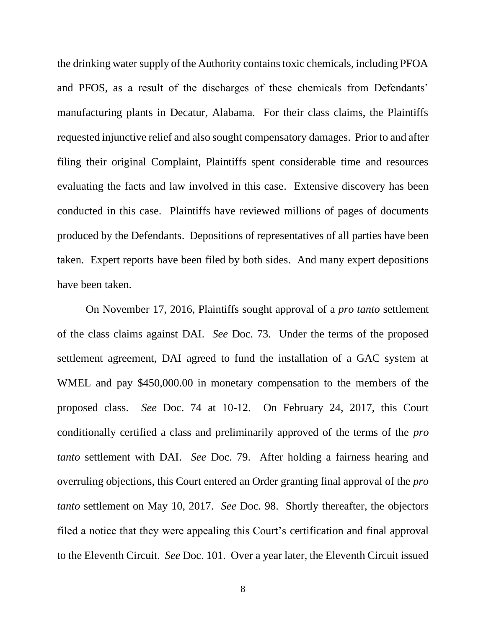the drinking water supply of the Authority contains toxic chemicals, including PFOA and PFOS, as a result of the discharges of these chemicals from Defendants' manufacturing plants in Decatur, Alabama. For their class claims, the Plaintiffs requested injunctive relief and also sought compensatory damages. Prior to and after filing their original Complaint, Plaintiffs spent considerable time and resources evaluating the facts and law involved in this case. Extensive discovery has been conducted in this case. Plaintiffs have reviewed millions of pages of documents produced by the Defendants. Depositions of representatives of all parties have been taken. Expert reports have been filed by both sides. And many expert depositions have been taken.

On November 17, 2016, Plaintiffs sought approval of a *pro tanto* settlement of the class claims against DAI. *See* Doc. 73. Under the terms of the proposed settlement agreement, DAI agreed to fund the installation of a GAC system at WMEL and pay \$450,000.00 in monetary compensation to the members of the proposed class. *See* Doc. 74 at 10-12. On February 24, 2017, this Court conditionally certified a class and preliminarily approved of the terms of the *pro tanto* settlement with DAI. *See* Doc. 79. After holding a fairness hearing and overruling objections, this Court entered an Order granting final approval of the *pro tanto* settlement on May 10, 2017. *See* Doc. 98. Shortly thereafter, the objectors filed a notice that they were appealing this Court's certification and final approval to the Eleventh Circuit. *See* Doc. 101. Over a year later, the Eleventh Circuit issued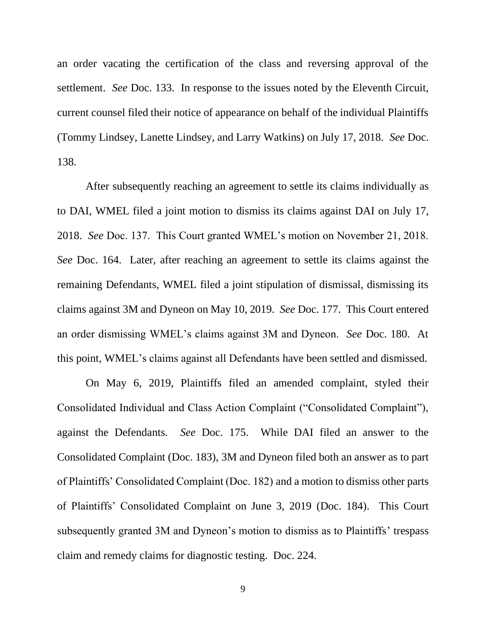an order vacating the certification of the class and reversing approval of the settlement. *See* Doc. 133. In response to the issues noted by the Eleventh Circuit, current counsel filed their notice of appearance on behalf of the individual Plaintiffs (Tommy Lindsey, Lanette Lindsey, and Larry Watkins) on July 17, 2018. *See* Doc. 138.

After subsequently reaching an agreement to settle its claims individually as to DAI, WMEL filed a joint motion to dismiss its claims against DAI on July 17, 2018. *See* Doc. 137. This Court granted WMEL's motion on November 21, 2018. *See* Doc. 164. Later, after reaching an agreement to settle its claims against the remaining Defendants, WMEL filed a joint stipulation of dismissal, dismissing its claims against 3M and Dyneon on May 10, 2019. *See* Doc. 177. This Court entered an order dismissing WMEL's claims against 3M and Dyneon. *See* Doc. 180. At this point, WMEL's claims against all Defendants have been settled and dismissed.

On May 6, 2019, Plaintiffs filed an amended complaint, styled their Consolidated Individual and Class Action Complaint ("Consolidated Complaint"), against the Defendants. *See* Doc. 175. While DAI filed an answer to the Consolidated Complaint (Doc. 183), 3M and Dyneon filed both an answer as to part of Plaintiffs' Consolidated Complaint (Doc. 182) and a motion to dismiss other parts of Plaintiffs' Consolidated Complaint on June 3, 2019 (Doc. 184). This Court subsequently granted 3M and Dyneon's motion to dismiss as to Plaintiffs' trespass claim and remedy claims for diagnostic testing. Doc. 224.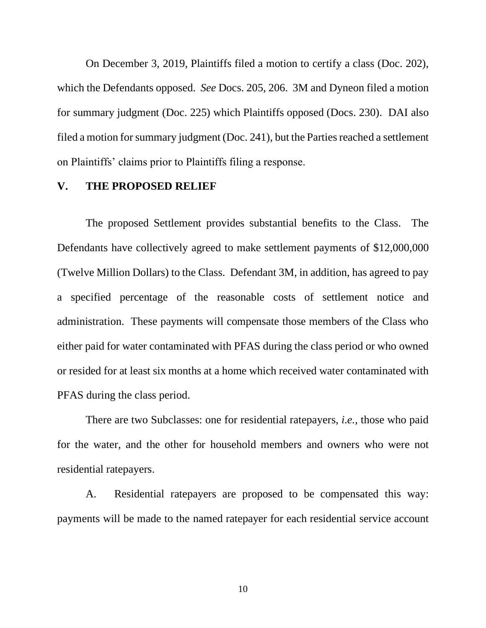On December 3, 2019, Plaintiffs filed a motion to certify a class (Doc. 202), which the Defendants opposed. *See* Docs. 205, 206. 3M and Dyneon filed a motion for summary judgment (Doc. 225) which Plaintiffs opposed (Docs. 230). DAI also filed a motion for summary judgment (Doc. 241), but the Parties reached a settlement on Plaintiffs' claims prior to Plaintiffs filing a response.

#### **V. THE PROPOSED RELIEF**

The proposed Settlement provides substantial benefits to the Class. The Defendants have collectively agreed to make settlement payments of \$12,000,000 (Twelve Million Dollars) to the Class. Defendant 3M, in addition, has agreed to pay a specified percentage of the reasonable costs of settlement notice and administration. These payments will compensate those members of the Class who either paid for water contaminated with PFAS during the class period or who owned or resided for at least six months at a home which received water contaminated with PFAS during the class period.

There are two Subclasses: one for residential ratepayers, *i.e.*, those who paid for the water, and the other for household members and owners who were not residential ratepayers.

A. Residential ratepayers are proposed to be compensated this way: payments will be made to the named ratepayer for each residential service account

10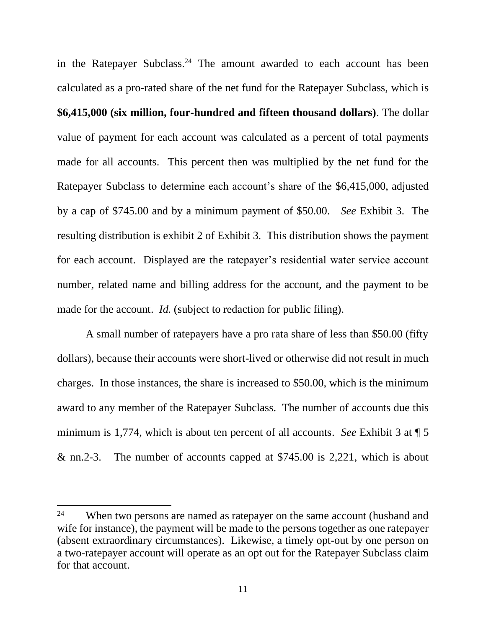in the Ratepayer Subclass.<sup>24</sup> The amount awarded to each account has been calculated as a pro-rated share of the net fund for the Ratepayer Subclass, which is **\$6,415,000 (six million, four-hundred and fifteen thousand dollars)**. The dollar value of payment for each account was calculated as a percent of total payments made for all accounts. This percent then was multiplied by the net fund for the Ratepayer Subclass to determine each account's share of the \$6,415,000, adjusted by a cap of \$745.00 and by a minimum payment of \$50.00. *See* Exhibit 3. The resulting distribution is exhibit 2 of Exhibit 3. This distribution shows the payment for each account. Displayed are the ratepayer's residential water service account number, related name and billing address for the account, and the payment to be made for the account. *Id.* (subject to redaction for public filing).

A small number of ratepayers have a pro rata share of less than \$50.00 (fifty dollars), because their accounts were short-lived or otherwise did not result in much charges. In those instances, the share is increased to \$50.00, which is the minimum award to any member of the Ratepayer Subclass. The number of accounts due this minimum is 1,774, which is about ten percent of all accounts. *See* Exhibit 3 at ¶ 5 & nn.2-3. The number of accounts capped at \$745.00 is 2,221, which is about

<sup>&</sup>lt;sup>24</sup> When two persons are named as ratepayer on the same account (husband and wife for instance), the payment will be made to the persons together as one ratepayer (absent extraordinary circumstances). Likewise, a timely opt-out by one person on a two-ratepayer account will operate as an opt out for the Ratepayer Subclass claim for that account.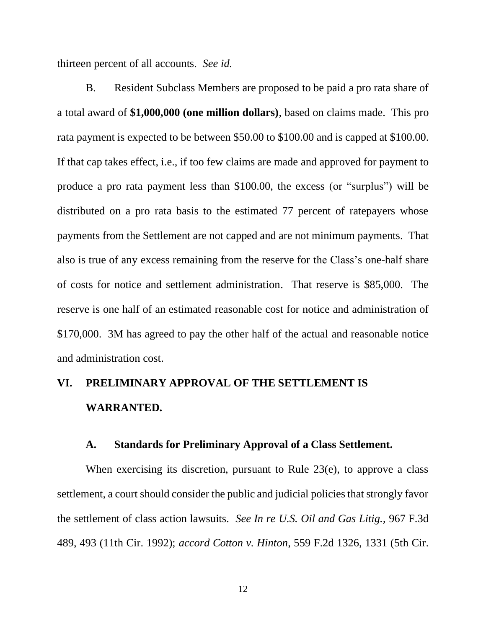thirteen percent of all accounts. *See id.*

B. Resident Subclass Members are proposed to be paid a pro rata share of a total award of **\$1,000,000 (one million dollars)**, based on claims made. This pro rata payment is expected to be between \$50.00 to \$100.00 and is capped at \$100.00. If that cap takes effect, i.e., if too few claims are made and approved for payment to produce a pro rata payment less than \$100.00, the excess (or "surplus") will be distributed on a pro rata basis to the estimated 77 percent of ratepayers whose payments from the Settlement are not capped and are not minimum payments. That also is true of any excess remaining from the reserve for the Class's one-half share of costs for notice and settlement administration. That reserve is \$85,000. The reserve is one half of an estimated reasonable cost for notice and administration of \$170,000. 3M has agreed to pay the other half of the actual and reasonable notice and administration cost.

# **VI. PRELIMINARY APPROVAL OF THE SETTLEMENT IS WARRANTED.**

#### **A. Standards for Preliminary Approval of a Class Settlement.**

When exercising its discretion, pursuant to Rule 23(e), to approve a class settlement, a court should consider the public and judicial policies that strongly favor the settlement of class action lawsuits. *See In re U.S. Oil and Gas Litig.*, 967 F.3d 489, 493 (11th Cir. 1992); *accord Cotton v. Hinton*, 559 F.2d 1326, 1331 (5th Cir.

12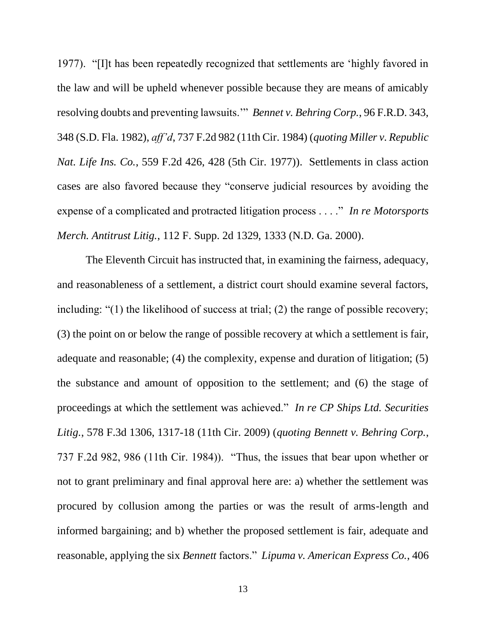1977). "[I]t has been repeatedly recognized that settlements are 'highly favored in the law and will be upheld whenever possible because they are means of amicably resolving doubts and preventing lawsuits.'" *Bennet v. Behring Corp.*, 96 F.R.D. 343, 348 (S.D. Fla. 1982), *aff'd*, 737 F.2d 982 (11th Cir. 1984) (*quoting Miller v. Republic Nat. Life Ins. Co.*, 559 F.2d 426, 428 (5th Cir. 1977)). Settlements in class action cases are also favored because they "conserve judicial resources by avoiding the expense of a complicated and protracted litigation process . . . ." *In re Motorsports Merch. Antitrust Litig.*, 112 F. Supp. 2d 1329, 1333 (N.D. Ga. 2000).

The Eleventh Circuit has instructed that, in examining the fairness, adequacy, and reasonableness of a settlement, a district court should examine several factors, including: "(1) the likelihood of success at trial; (2) the range of possible recovery; (3) the point on or below the range of possible recovery at which a settlement is fair, adequate and reasonable; (4) the complexity, expense and duration of litigation; (5) the substance and amount of opposition to the settlement; and (6) the stage of proceedings at which the settlement was achieved." *In re CP Ships Ltd. Securities Litig.*, 578 F.3d 1306, 1317-18 (11th Cir. 2009) (*quoting Bennett v. Behring Corp.*, 737 F.2d 982, 986 (11th Cir. 1984)). "Thus, the issues that bear upon whether or not to grant preliminary and final approval here are: a) whether the settlement was procured by collusion among the parties or was the result of arms-length and informed bargaining; and b) whether the proposed settlement is fair, adequate and reasonable, applying the six *Bennett* factors." *Lipuma v. American Express Co.*, 406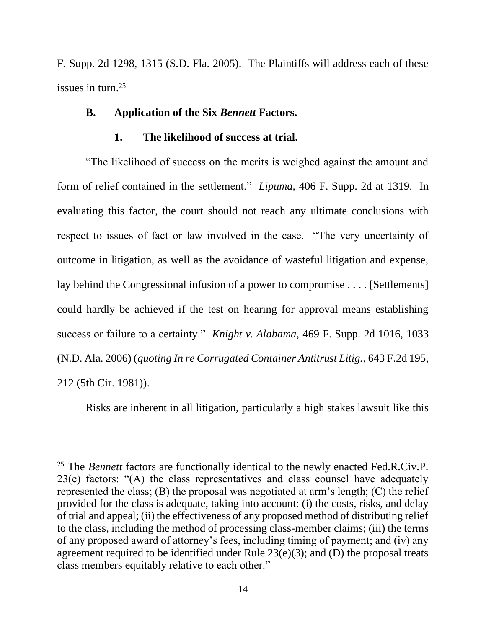F. Supp. 2d 1298, 1315 (S.D. Fla. 2005). The Plaintiffs will address each of these issues in turn.<sup>25</sup>

#### **B. Application of the Six** *Bennett* **Factors.**

#### **1. The likelihood of success at trial.**

"The likelihood of success on the merits is weighed against the amount and form of relief contained in the settlement." *Lipuma*, 406 F. Supp. 2d at 1319. In evaluating this factor, the court should not reach any ultimate conclusions with respect to issues of fact or law involved in the case. "The very uncertainty of outcome in litigation, as well as the avoidance of wasteful litigation and expense, lay behind the Congressional infusion of a power to compromise . . . . [Settlements] could hardly be achieved if the test on hearing for approval means establishing success or failure to a certainty." *Knight v. Alabama*, 469 F. Supp. 2d 1016, 1033 (N.D. Ala. 2006) (*quoting In re Corrugated Container Antitrust Litig.*, 643 F.2d 195, 212 (5th Cir. 1981)).

Risks are inherent in all litigation, particularly a high stakes lawsuit like this

<sup>25</sup> The *Bennett* factors are functionally identical to the newly enacted Fed.R.Civ.P. 23(e) factors: "(A) the class representatives and class counsel have adequately represented the class; (B) the proposal was negotiated at arm's length; (C) the relief provided for the class is adequate, taking into account: (i) the costs, risks, and delay of trial and appeal; (ii) the effectiveness of any proposed method of distributing relief to the class, including the method of processing class-member claims; (iii) the terms of any proposed award of attorney's fees, including timing of payment; and (iv) any agreement required to be identified under Rule 23(e)(3); and (D) the proposal treats class members equitably relative to each other."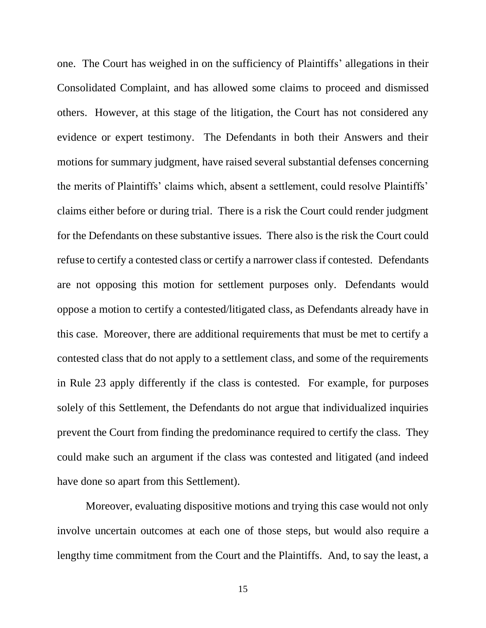one. The Court has weighed in on the sufficiency of Plaintiffs' allegations in their Consolidated Complaint, and has allowed some claims to proceed and dismissed others. However, at this stage of the litigation, the Court has not considered any evidence or expert testimony. The Defendants in both their Answers and their motions for summary judgment, have raised several substantial defenses concerning the merits of Plaintiffs' claims which, absent a settlement, could resolve Plaintiffs' claims either before or during trial. There is a risk the Court could render judgment for the Defendants on these substantive issues. There also is the risk the Court could refuse to certify a contested class or certify a narrower class if contested. Defendants are not opposing this motion for settlement purposes only. Defendants would oppose a motion to certify a contested/litigated class, as Defendants already have in this case. Moreover, there are additional requirements that must be met to certify a contested class that do not apply to a settlement class, and some of the requirements in Rule 23 apply differently if the class is contested. For example, for purposes solely of this Settlement, the Defendants do not argue that individualized inquiries prevent the Court from finding the predominance required to certify the class. They could make such an argument if the class was contested and litigated (and indeed have done so apart from this Settlement).

Moreover, evaluating dispositive motions and trying this case would not only involve uncertain outcomes at each one of those steps, but would also require a lengthy time commitment from the Court and the Plaintiffs. And, to say the least, a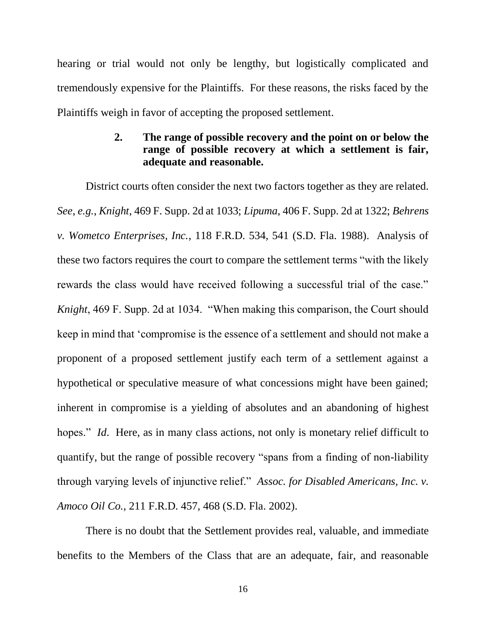hearing or trial would not only be lengthy, but logistically complicated and tremendously expensive for the Plaintiffs. For these reasons, the risks faced by the Plaintiffs weigh in favor of accepting the proposed settlement.

## **2. The range of possible recovery and the point on or below the range of possible recovery at which a settlement is fair, adequate and reasonable.**

District courts often consider the next two factors together as they are related. *See*, *e.g.*, *Knight*, 469 F. Supp. 2d at 1033; *Lipuma*, 406 F. Supp. 2d at 1322; *Behrens v. Wometco Enterprises, Inc.*, 118 F.R.D. 534, 541 (S.D. Fla. 1988). Analysis of these two factors requires the court to compare the settlement terms "with the likely rewards the class would have received following a successful trial of the case." *Knight*, 469 F. Supp. 2d at 1034. "When making this comparison, the Court should keep in mind that 'compromise is the essence of a settlement and should not make a proponent of a proposed settlement justify each term of a settlement against a hypothetical or speculative measure of what concessions might have been gained; inherent in compromise is a yielding of absolutes and an abandoning of highest hopes." *Id.* Here, as in many class actions, not only is monetary relief difficult to quantify, but the range of possible recovery "spans from a finding of non-liability through varying levels of injunctive relief." *Assoc. for Disabled Americans, Inc. v. Amoco Oil Co.*, 211 F.R.D. 457, 468 (S.D. Fla. 2002).

There is no doubt that the Settlement provides real, valuable, and immediate benefits to the Members of the Class that are an adequate, fair, and reasonable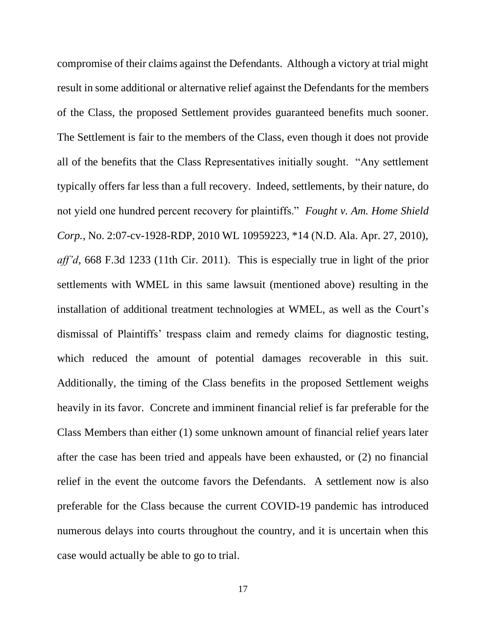compromise of their claims against the Defendants. Although a victory at trial might result in some additional or alternative relief against the Defendants for the members of the Class, the proposed Settlement provides guaranteed benefits much sooner. The Settlement is fair to the members of the Class, even though it does not provide all of the benefits that the Class Representatives initially sought. "Any settlement typically offers far less than a full recovery. Indeed, settlements, by their nature, do not yield one hundred percent recovery for plaintiffs." *Fought v. Am. Home Shield Corp.*, No. 2:07-cv-1928-RDP, 2010 WL 10959223, \*14 (N.D. Ala. Apr. 27, 2010), *aff'd*, 668 F.3d 1233 (11th Cir. 2011). This is especially true in light of the prior settlements with WMEL in this same lawsuit (mentioned above) resulting in the installation of additional treatment technologies at WMEL, as well as the Court's dismissal of Plaintiffs' trespass claim and remedy claims for diagnostic testing, which reduced the amount of potential damages recoverable in this suit. Additionally, the timing of the Class benefits in the proposed Settlement weighs heavily in its favor. Concrete and imminent financial relief is far preferable for the Class Members than either (1) some unknown amount of financial relief years later after the case has been tried and appeals have been exhausted, or (2) no financial relief in the event the outcome favors the Defendants. A settlement now is also preferable for the Class because the current COVID-19 pandemic has introduced numerous delays into courts throughout the country, and it is uncertain when this case would actually be able to go to trial.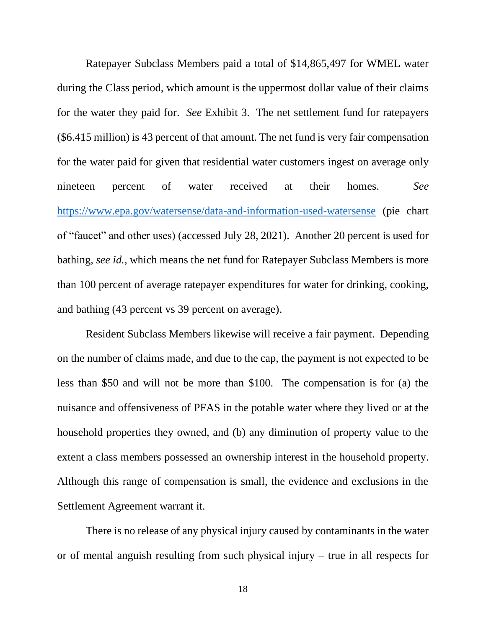Ratepayer Subclass Members paid a total of \$14,865,497 for WMEL water during the Class period, which amount is the uppermost dollar value of their claims for the water they paid for. *See* Exhibit 3. The net settlement fund for ratepayers (\$6.415 million) is 43 percent of that amount*.* The net fund is very fair compensation for the water paid for given that residential water customers ingest on average only nineteen percent of water received at their homes. *See*  <https://www.epa.gov/watersense/data-and-information-used-watersense> (pie chart of "faucet" and other uses) (accessed July 28, 2021). Another 20 percent is used for bathing, *see id.*, which means the net fund for Ratepayer Subclass Members is more than 100 percent of average ratepayer expenditures for water for drinking, cooking, and bathing (43 percent vs 39 percent on average).

Resident Subclass Members likewise will receive a fair payment. Depending on the number of claims made, and due to the cap, the payment is not expected to be less than \$50 and will not be more than \$100. The compensation is for (a) the nuisance and offensiveness of PFAS in the potable water where they lived or at the household properties they owned, and (b) any diminution of property value to the extent a class members possessed an ownership interest in the household property. Although this range of compensation is small, the evidence and exclusions in the Settlement Agreement warrant it.

There is no release of any physical injury caused by contaminants in the water or of mental anguish resulting from such physical injury – true in all respects for

18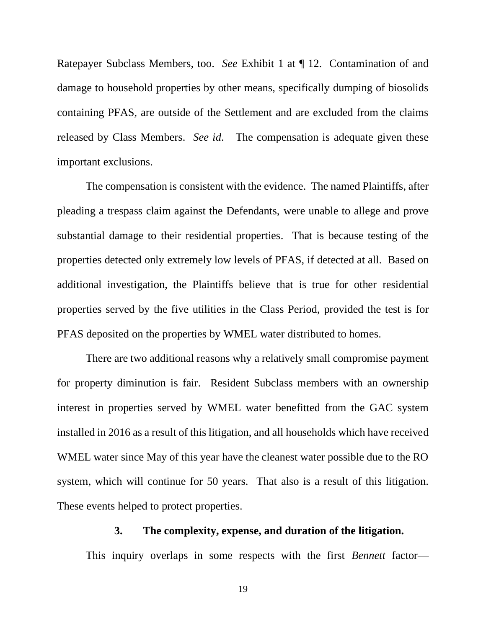Ratepayer Subclass Members, too. *See* Exhibit 1 at ¶ 12. Contamination of and damage to household properties by other means, specifically dumping of biosolids containing PFAS, are outside of the Settlement and are excluded from the claims released by Class Members. *See id*. The compensation is adequate given these important exclusions.

The compensation is consistent with the evidence. The named Plaintiffs, after pleading a trespass claim against the Defendants, were unable to allege and prove substantial damage to their residential properties. That is because testing of the properties detected only extremely low levels of PFAS, if detected at all. Based on additional investigation, the Plaintiffs believe that is true for other residential properties served by the five utilities in the Class Period, provided the test is for PFAS deposited on the properties by WMEL water distributed to homes.

There are two additional reasons why a relatively small compromise payment for property diminution is fair. Resident Subclass members with an ownership interest in properties served by WMEL water benefitted from the GAC system installed in 2016 as a result of this litigation, and all households which have received WMEL water since May of this year have the cleanest water possible due to the RO system, which will continue for 50 years. That also is a result of this litigation. These events helped to protect properties.

#### **3. The complexity, expense, and duration of the litigation.**

This inquiry overlaps in some respects with the first *Bennett* factor—

19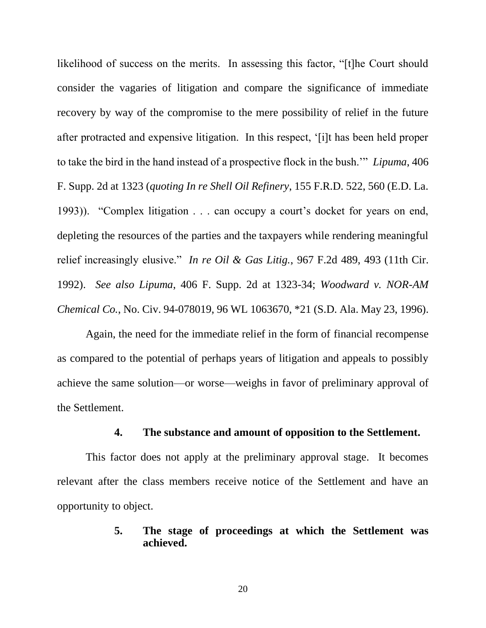likelihood of success on the merits. In assessing this factor, "[t]he Court should consider the vagaries of litigation and compare the significance of immediate recovery by way of the compromise to the mere possibility of relief in the future after protracted and expensive litigation. In this respect, '[i]t has been held proper to take the bird in the hand instead of a prospective flock in the bush.'" *Lipuma*, 406 F. Supp. 2d at 1323 (*quoting In re Shell Oil Refinery*, 155 F.R.D. 522, 560 (E.D. La. 1993)). "Complex litigation . . . can occupy a court's docket for years on end, depleting the resources of the parties and the taxpayers while rendering meaningful relief increasingly elusive." *In re Oil & Gas Litig.*, 967 F.2d 489, 493 (11th Cir. 1992). *See also Lipuma*, 406 F. Supp. 2d at 1323-34; *Woodward v. NOR-AM Chemical Co.*, No. Civ. 94-078019, 96 WL 1063670, \*21 (S.D. Ala. May 23, 1996).

Again, the need for the immediate relief in the form of financial recompense as compared to the potential of perhaps years of litigation and appeals to possibly achieve the same solution—or worse—weighs in favor of preliminary approval of the Settlement.

## **4. The substance and amount of opposition to the Settlement.**

This factor does not apply at the preliminary approval stage. It becomes relevant after the class members receive notice of the Settlement and have an opportunity to object.

## **5. The stage of proceedings at which the Settlement was achieved.**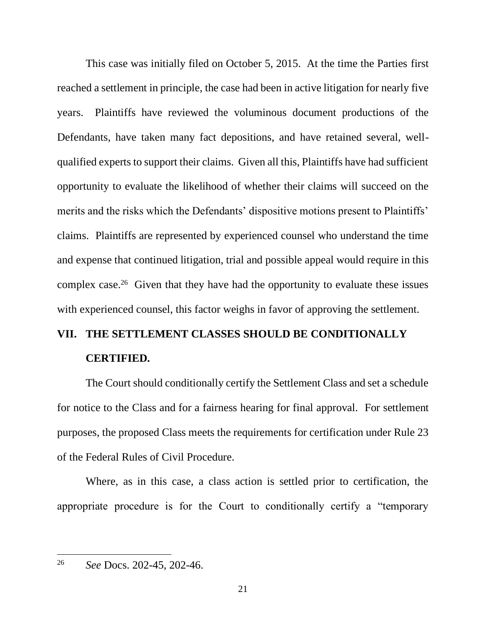This case was initially filed on October 5, 2015. At the time the Parties first reached a settlement in principle, the case had been in active litigation for nearly five years. Plaintiffs have reviewed the voluminous document productions of the Defendants, have taken many fact depositions, and have retained several, wellqualified experts to support their claims. Given all this, Plaintiffs have had sufficient opportunity to evaluate the likelihood of whether their claims will succeed on the merits and the risks which the Defendants' dispositive motions present to Plaintiffs' claims. Plaintiffs are represented by experienced counsel who understand the time and expense that continued litigation, trial and possible appeal would require in this complex case.<sup>26</sup> Given that they have had the opportunity to evaluate these issues with experienced counsel, this factor weighs in favor of approving the settlement.

# **VII. THE SETTLEMENT CLASSES SHOULD BE CONDITIONALLY CERTIFIED.**

The Court should conditionally certify the Settlement Class and set a schedule for notice to the Class and for a fairness hearing for final approval. For settlement purposes, the proposed Class meets the requirements for certification under Rule 23 of the Federal Rules of Civil Procedure.

Where, as in this case, a class action is settled prior to certification, the appropriate procedure is for the Court to conditionally certify a "temporary

<sup>26</sup> *See* Docs. 202-45, 202-46.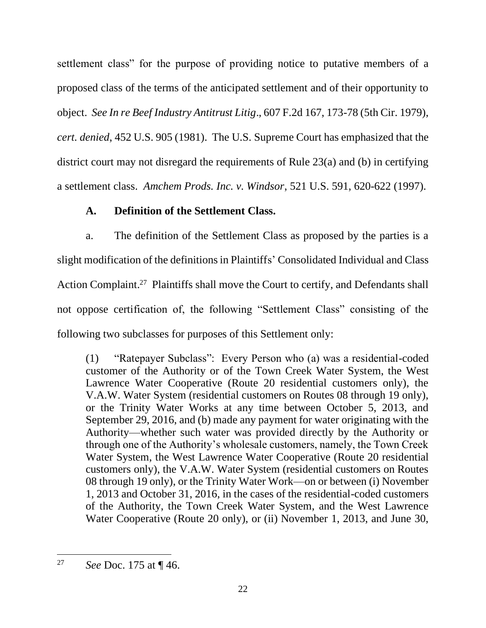settlement class" for the purpose of providing notice to putative members of a proposed class of the terms of the anticipated settlement and of their opportunity to object. *See In re Beef Industry Antitrust Litig*., 607 F.2d 167, 173-78 (5th Cir. 1979), *cert. denied*, 452 U.S. 905 (1981). The U.S. Supreme Court has emphasized that the district court may not disregard the requirements of Rule 23(a) and (b) in certifying a settlement class. *Amchem Prods. Inc. v. Windsor*, 521 U.S. 591, 620-622 (1997).

## **A. Definition of the Settlement Class.**

a. The definition of the Settlement Class as proposed by the parties is a slight modification of the definitions in Plaintiffs' Consolidated Individual and Class Action Complaint.<sup>27</sup> Plaintiffs shall move the Court to certify, and Defendants shall not oppose certification of, the following "Settlement Class" consisting of the following two subclasses for purposes of this Settlement only:

(1) "Ratepayer Subclass": Every Person who (a) was a residential-coded customer of the Authority or of the Town Creek Water System, the West Lawrence Water Cooperative (Route 20 residential customers only), the V.A.W. Water System (residential customers on Routes 08 through 19 only), or the Trinity Water Works at any time between October 5, 2013, and September 29, 2016, and (b) made any payment for water originating with the Authority—whether such water was provided directly by the Authority or through one of the Authority's wholesale customers, namely, the Town Creek Water System, the West Lawrence Water Cooperative (Route 20 residential customers only), the V.A.W. Water System (residential customers on Routes 08 through 19 only), or the Trinity Water Work—on or between (i) November 1, 2013 and October 31, 2016, in the cases of the residential-coded customers of the Authority, the Town Creek Water System, and the West Lawrence Water Cooperative (Route 20 only), or (ii) November 1, 2013, and June 30,

<sup>27</sup> *See* Doc. 175 at ¶ 46.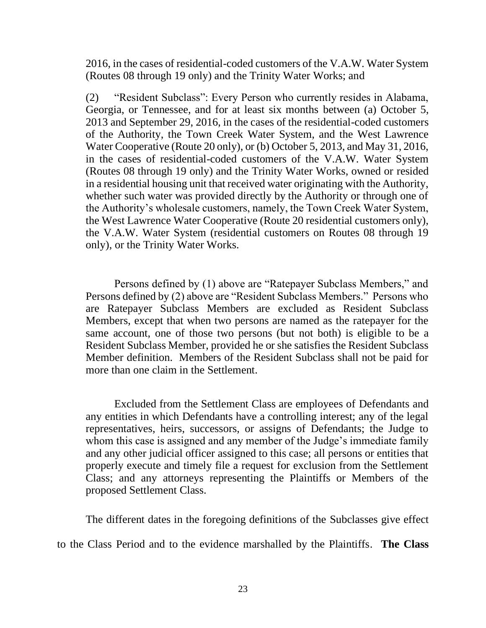2016, in the cases of residential-coded customers of the V.A.W. Water System (Routes 08 through 19 only) and the Trinity Water Works; and

(2) "Resident Subclass": Every Person who currently resides in Alabama, Georgia, or Tennessee, and for at least six months between (a) October 5, 2013 and September 29, 2016, in the cases of the residential-coded customers of the Authority, the Town Creek Water System, and the West Lawrence Water Cooperative (Route 20 only), or (b) October 5, 2013, and May 31, 2016, in the cases of residential-coded customers of the V.A.W. Water System (Routes 08 through 19 only) and the Trinity Water Works, owned or resided in a residential housing unit that received water originating with the Authority, whether such water was provided directly by the Authority or through one of the Authority's wholesale customers, namely, the Town Creek Water System, the West Lawrence Water Cooperative (Route 20 residential customers only), the V.A.W. Water System (residential customers on Routes 08 through 19 only), or the Trinity Water Works.

Persons defined by (1) above are "Ratepayer Subclass Members," and Persons defined by (2) above are "Resident Subclass Members." Persons who are Ratepayer Subclass Members are excluded as Resident Subclass Members, except that when two persons are named as the ratepayer for the same account, one of those two persons (but not both) is eligible to be a Resident Subclass Member, provided he or she satisfies the Resident Subclass Member definition. Members of the Resident Subclass shall not be paid for more than one claim in the Settlement.

Excluded from the Settlement Class are employees of Defendants and any entities in which Defendants have a controlling interest; any of the legal representatives, heirs, successors, or assigns of Defendants; the Judge to whom this case is assigned and any member of the Judge's immediate family and any other judicial officer assigned to this case; all persons or entities that properly execute and timely file a request for exclusion from the Settlement Class; and any attorneys representing the Plaintiffs or Members of the proposed Settlement Class.

The different dates in the foregoing definitions of the Subclasses give effect to the Class Period and to the evidence marshalled by the Plaintiffs. **The Class**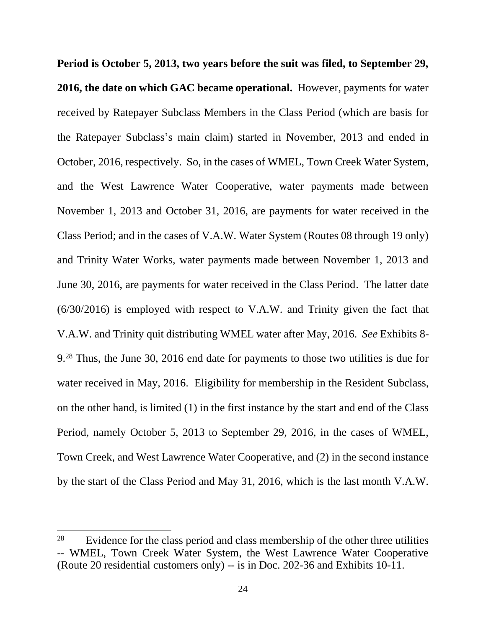**Period is October 5, 2013, two years before the suit was filed, to September 29, 2016, the date on which GAC became operational.** However, payments for water received by Ratepayer Subclass Members in the Class Period (which are basis for the Ratepayer Subclass's main claim) started in November, 2013 and ended in October, 2016, respectively. So, in the cases of WMEL, Town Creek Water System, and the West Lawrence Water Cooperative, water payments made between November 1, 2013 and October 31, 2016, are payments for water received in the Class Period; and in the cases of V.A.W. Water System (Routes 08 through 19 only) and Trinity Water Works, water payments made between November 1, 2013 and June 30, 2016, are payments for water received in the Class Period. The latter date (6/30/2016) is employed with respect to V.A.W. and Trinity given the fact that V.A.W. and Trinity quit distributing WMEL water after May, 2016. *See* Exhibits 8- 9.<sup>28</sup> Thus, the June 30, 2016 end date for payments to those two utilities is due for water received in May, 2016. Eligibility for membership in the Resident Subclass, on the other hand, is limited (1) in the first instance by the start and end of the Class Period, namely October 5, 2013 to September 29, 2016, in the cases of WMEL, Town Creek, and West Lawrence Water Cooperative, and (2) in the second instance by the start of the Class Period and May 31, 2016, which is the last month V.A.W.

<sup>&</sup>lt;sup>28</sup> Evidence for the class period and class membership of the other three utilities -- WMEL, Town Creek Water System, the West Lawrence Water Cooperative (Route 20 residential customers only) -- is in Doc. 202-36 and Exhibits 10-11.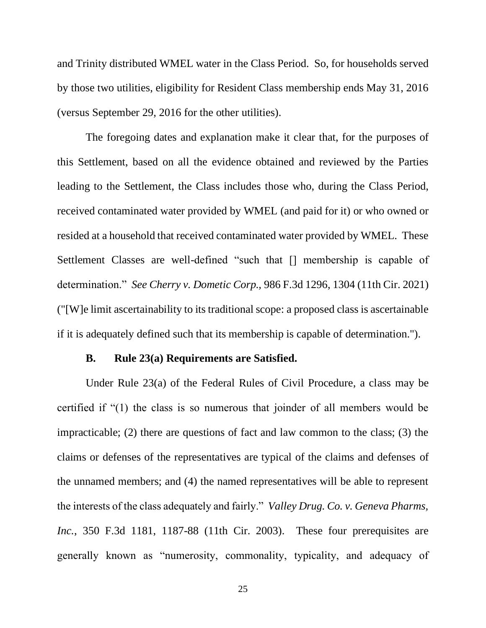and Trinity distributed WMEL water in the Class Period. So, for households served by those two utilities, eligibility for Resident Class membership ends May 31, 2016 (versus September 29, 2016 for the other utilities).

The foregoing dates and explanation make it clear that, for the purposes of this Settlement, based on all the evidence obtained and reviewed by the Parties leading to the Settlement, the Class includes those who, during the Class Period, received contaminated water provided by WMEL (and paid for it) or who owned or resided at a household that received contaminated water provided by WMEL. These Settlement Classes are well-defined "such that [] membership is capable of determination." *See Cherry v. Dometic Corp.,* 986 F.3d 1296, 1304 (11th Cir. 2021) ("[W]e limit ascertainability to its traditional scope: a proposed class is ascertainable if it is adequately defined such that its membership is capable of determination.").

#### **B. Rule 23(a) Requirements are Satisfied.**

Under Rule 23(a) of the Federal Rules of Civil Procedure, a class may be certified if "(1) the class is so numerous that joinder of all members would be impracticable; (2) there are questions of fact and law common to the class; (3) the claims or defenses of the representatives are typical of the claims and defenses of the unnamed members; and (4) the named representatives will be able to represent the interests of the class adequately and fairly." *Valley Drug. Co. v. Geneva Pharms, Inc.*, 350 F.3d 1181, 1187-88 (11th Cir. 2003). These four prerequisites are generally known as "numerosity, commonality, typicality, and adequacy of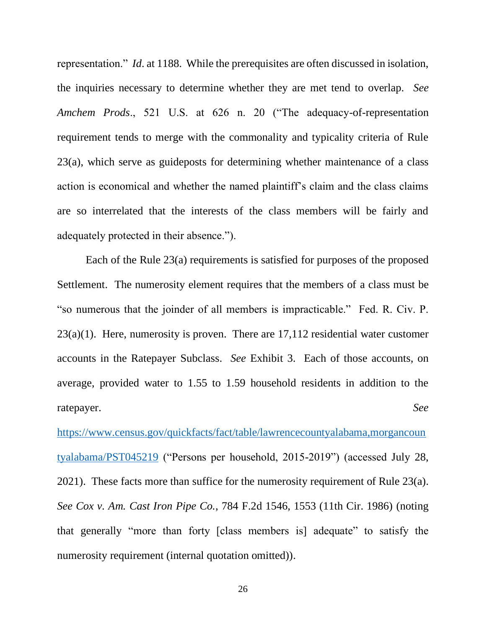representation." *Id*. at 1188. While the prerequisites are often discussed in isolation, the inquiries necessary to determine whether they are met tend to overlap. *See Amchem Prods*., 521 U.S. at 626 n. 20 ("The adequacy-of-representation requirement tends to merge with the commonality and typicality criteria of Rule 23(a), which serve as guideposts for determining whether maintenance of a class action is economical and whether the named plaintiff's claim and the class claims are so interrelated that the interests of the class members will be fairly and adequately protected in their absence.").

Each of the Rule 23(a) requirements is satisfied for purposes of the proposed Settlement. The numerosity element requires that the members of a class must be "so numerous that the joinder of all members is impracticable." Fed. R. Civ. P.  $23(a)(1)$ . Here, numerosity is proven. There are 17,112 residential water customer accounts in the Ratepayer Subclass. *See* Exhibit 3. Each of those accounts, on average, provided water to 1.55 to 1.59 household residents in addition to the ratepayer. *See*

[https://www.census.gov/quickfacts/fact/table/lawrencecountyalabama,morgancoun](https://www.census.gov/quickfacts/fact/table/lawrencecountyalabama,morgancountyalabama/PST045219) [tyalabama/PST045219](https://www.census.gov/quickfacts/fact/table/lawrencecountyalabama,morgancountyalabama/PST045219) ("Persons per household, 2015-2019") (accessed July 28, 2021). These facts more than suffice for the numerosity requirement of Rule 23(a). *See Cox v. Am. Cast Iron Pipe Co.*, 784 F.2d 1546, 1553 (11th Cir. 1986) (noting that generally "more than forty [class members is] adequate" to satisfy the numerosity requirement (internal quotation omitted)).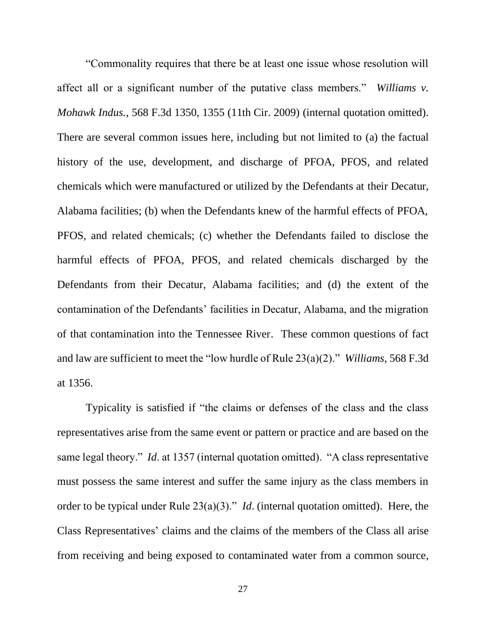"Commonality requires that there be at least one issue whose resolution will affect all or a significant number of the putative class members." *Williams v. Mohawk Indus.*, 568 F.3d 1350, 1355 (11th Cir. 2009) (internal quotation omitted). There are several common issues here, including but not limited to (a) the factual history of the use, development, and discharge of PFOA, PFOS, and related chemicals which were manufactured or utilized by the Defendants at their Decatur, Alabama facilities; (b) when the Defendants knew of the harmful effects of PFOA, PFOS, and related chemicals; (c) whether the Defendants failed to disclose the harmful effects of PFOA, PFOS, and related chemicals discharged by the Defendants from their Decatur, Alabama facilities; and (d) the extent of the contamination of the Defendants' facilities in Decatur, Alabama, and the migration of that contamination into the Tennessee River. These common questions of fact and law are sufficient to meet the "low hurdle of Rule 23(a)(2)." *Williams*, 568 F.3d at 1356.

Typicality is satisfied if "the claims or defenses of the class and the class representatives arise from the same event or pattern or practice and are based on the same legal theory." *Id*. at 1357 (internal quotation omitted). "A class representative must possess the same interest and suffer the same injury as the class members in order to be typical under Rule 23(a)(3)." *Id*. (internal quotation omitted). Here, the Class Representatives' claims and the claims of the members of the Class all arise from receiving and being exposed to contaminated water from a common source,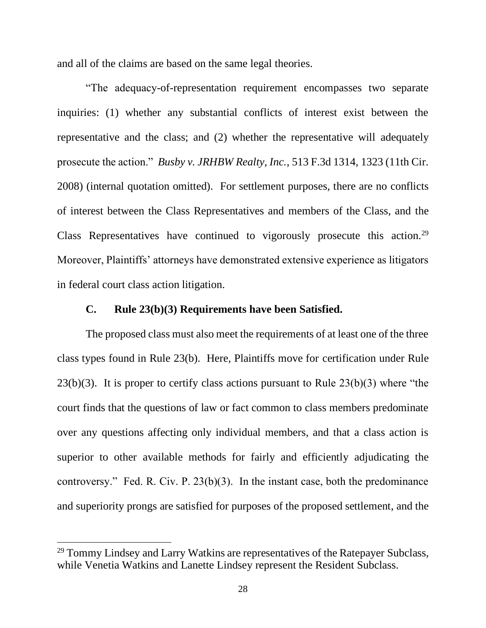and all of the claims are based on the same legal theories.

"The adequacy-of-representation requirement encompasses two separate inquiries: (1) whether any substantial conflicts of interest exist between the representative and the class; and (2) whether the representative will adequately prosecute the action." *Busby v. JRHBW Realty, Inc.*, 513 F.3d 1314, 1323 (11th Cir. 2008) (internal quotation omitted). For settlement purposes, there are no conflicts of interest between the Class Representatives and members of the Class, and the Class Representatives have continued to vigorously prosecute this action.<sup>29</sup> Moreover, Plaintiffs' attorneys have demonstrated extensive experience as litigators in federal court class action litigation.

#### **C. Rule 23(b)(3) Requirements have been Satisfied.**

The proposed class must also meet the requirements of at least one of the three class types found in Rule 23(b). Here, Plaintiffs move for certification under Rule  $23(b)(3)$ . It is proper to certify class actions pursuant to Rule  $23(b)(3)$  where "the court finds that the questions of law or fact common to class members predominate over any questions affecting only individual members, and that a class action is superior to other available methods for fairly and efficiently adjudicating the controversy." Fed. R. Civ. P. 23(b)(3). In the instant case, both the predominance and superiority prongs are satisfied for purposes of the proposed settlement, and the

<sup>&</sup>lt;sup>29</sup> Tommy Lindsey and Larry Watkins are representatives of the Ratepayer Subclass, while Venetia Watkins and Lanette Lindsey represent the Resident Subclass.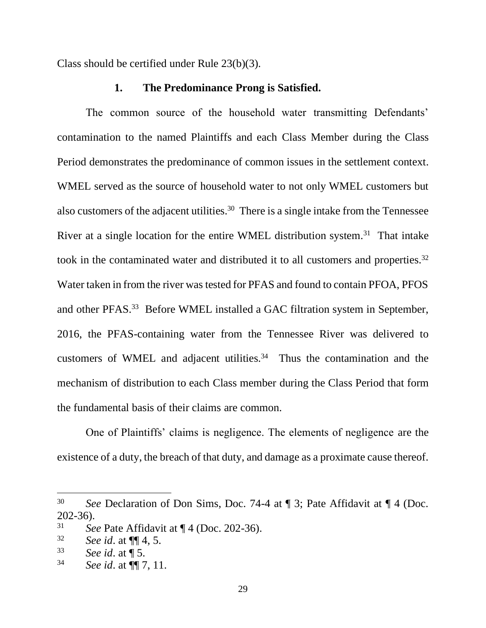Class should be certified under Rule 23(b)(3).

#### **1. The Predominance Prong is Satisfied.**

The common source of the household water transmitting Defendants' contamination to the named Plaintiffs and each Class Member during the Class Period demonstrates the predominance of common issues in the settlement context. WMEL served as the source of household water to not only WMEL customers but also customers of the adjacent utilities.<sup>30</sup> There is a single intake from the Tennessee River at a single location for the entire WMEL distribution system.<sup>31</sup> That intake took in the contaminated water and distributed it to all customers and properties.<sup>32</sup> Water taken in from the river was tested for PFAS and found to contain PFOA, PFOS and other PFAS.<sup>33</sup> Before WMEL installed a GAC filtration system in September, 2016, the PFAS-containing water from the Tennessee River was delivered to customers of WMEL and adjacent utilities. $34$  Thus the contamination and the mechanism of distribution to each Class member during the Class Period that form the fundamental basis of their claims are common.

One of Plaintiffs' claims is negligence. The elements of negligence are the existence of a duty, the breach of that duty, and damage as a proximate cause thereof.

<sup>30</sup> *See* Declaration of Don Sims, Doc. 74-4 at ¶ 3; Pate Affidavit at ¶ 4 (Doc. 202-36).

<sup>31</sup> *See* Pate Affidavit at ¶ 4 (Doc. 202-36).

<sup>32</sup> *See id*. at ¶¶ 4, 5.

<sup>33</sup> *See id*. at ¶ 5.

<sup>34</sup> *See id*. at ¶¶ 7, 11.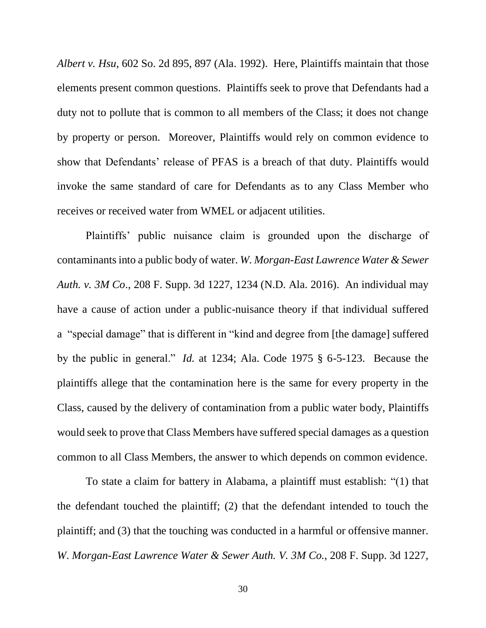*Albert v. Hsu*, 602 So. 2d 895, 897 (Ala. 1992). Here, Plaintiffs maintain that those elements present common questions. Plaintiffs seek to prove that Defendants had a duty not to pollute that is common to all members of the Class; it does not change by property or person. Moreover, Plaintiffs would rely on common evidence to show that Defendants' release of PFAS is a breach of that duty. Plaintiffs would invoke the same standard of care for Defendants as to any Class Member who receives or received water from WMEL or adjacent utilities.

Plaintiffs' public nuisance claim is grounded upon the discharge of contaminants into a public body of water. *W. Morgan-East Lawrence Water & Sewer Auth. v. 3M Co*., 208 F. Supp. 3d 1227, 1234 (N.D. Ala. 2016). An individual may have a cause of action under a public-nuisance theory if that individual suffered a "special damage" that is different in "kind and degree from [the damage] suffered by the public in general." *Id.* at 1234; Ala. Code 1975 § 6-5-123. Because the plaintiffs allege that the contamination here is the same for every property in the Class, caused by the delivery of contamination from a public water body, Plaintiffs would seek to prove that Class Members have suffered special damages as a question common to all Class Members, the answer to which depends on common evidence.

To state a claim for battery in Alabama, a plaintiff must establish: "(1) that the defendant touched the plaintiff; (2) that the defendant intended to touch the plaintiff; and (3) that the touching was conducted in a harmful or offensive manner. *W*. *Morgan-East Lawrence Water & Sewer Auth. V. 3M Co.*, 208 F. Supp. 3d 1227,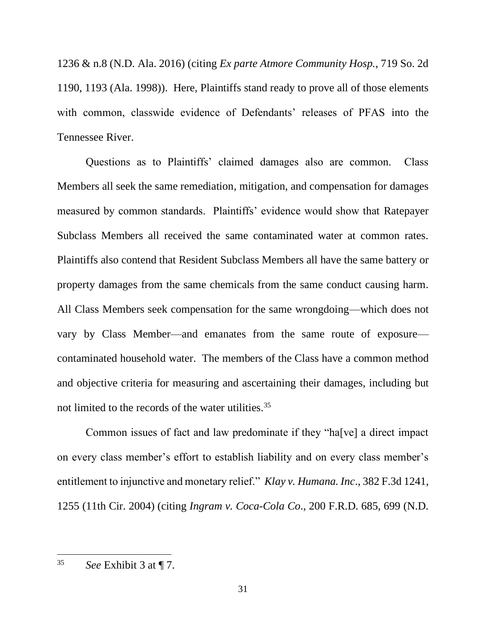1236 & n.8 (N.D. Ala. 2016) (citing *Ex parte Atmore Community Hosp.*, 719 So. 2d 1190, 1193 (Ala. 1998)). Here, Plaintiffs stand ready to prove all of those elements with common, classwide evidence of Defendants' releases of PFAS into the Tennessee River.

Questions as to Plaintiffs' claimed damages also are common. Class Members all seek the same remediation, mitigation, and compensation for damages measured by common standards. Plaintiffs' evidence would show that Ratepayer Subclass Members all received the same contaminated water at common rates. Plaintiffs also contend that Resident Subclass Members all have the same battery or property damages from the same chemicals from the same conduct causing harm*.* All Class Members seek compensation for the same wrongdoing—which does not vary by Class Member—and emanates from the same route of exposure contaminated household water. The members of the Class have a common method and objective criteria for measuring and ascertaining their damages, including but not limited to the records of the water utilities.<sup>35</sup>

Common issues of fact and law predominate if they "ha[ve] a direct impact on every class member's effort to establish liability and on every class member's entitlement to injunctive and monetary relief." *Klay v. Humana. Inc*., 382 F.3d 1241, 1255 (11th Cir. 2004) (citing *Ingram v. Coca-Cola Co*., 200 F.R.D. 685, 699 (N.D.

<sup>35</sup> *See* Exhibit 3 at ¶ 7.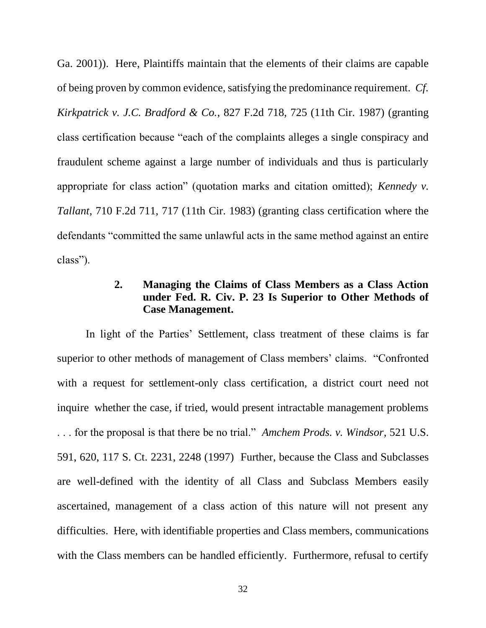Ga. 2001)). Here, Plaintiffs maintain that the elements of their claims are capable of being proven by common evidence, satisfying the predominance requirement. *Cf. Kirkpatrick v. J.C. Bradford & Co.*, 827 F.2d 718, 725 (11th Cir. 1987) (granting class certification because "each of the complaints alleges a single conspiracy and fraudulent scheme against a large number of individuals and thus is particularly appropriate for class action" (quotation marks and citation omitted); *Kennedy v. Tallant*, 710 F.2d 711, 717 (11th Cir. 1983) (granting class certification where the defendants "committed the same unlawful acts in the same method against an entire class").

## **2. Managing the Claims of Class Members as a Class Action under Fed. R. Civ. P. 23 Is Superior to Other Methods of Case Management.**

In light of the Parties' Settlement, class treatment of these claims is far superior to other methods of management of Class members' claims. "Confronted with a request for settlement-only class certification, a district court need not inquire whether the case, if tried, would present intractable management problems . . . for the proposal is that there be no trial." *Amchem Prods. v. Windsor*, 521 U.S. 591, 620, 117 S. Ct. 2231, 2248 (1997) Further, because the Class and Subclasses are well-defined with the identity of all Class and Subclass Members easily ascertained, management of a class action of this nature will not present any difficulties. Here, with identifiable properties and Class members, communications with the Class members can be handled efficiently. Furthermore, refusal to certify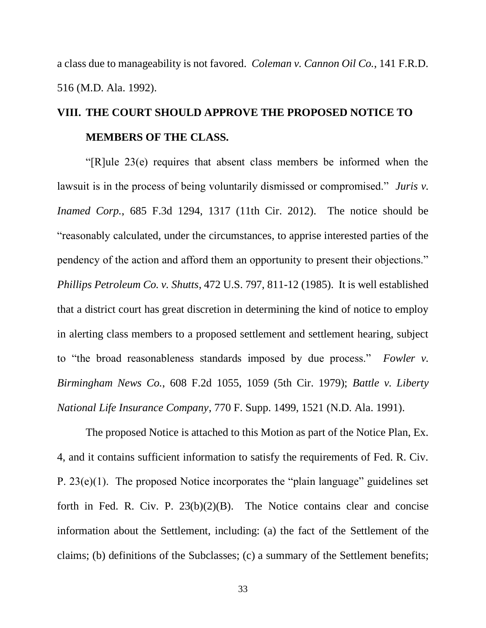a class due to manageability is not favored*. Coleman v. Cannon Oil Co.*, 141 F.R.D. 516 (M.D. Ala. 1992).

# **VIII. THE COURT SHOULD APPROVE THE PROPOSED NOTICE TO MEMBERS OF THE CLASS.**

"[R]ule 23(e) requires that absent class members be informed when the lawsuit is in the process of being voluntarily dismissed or compromised." *Juris v. Inamed Corp.*, 685 F.3d 1294, 1317 (11th Cir. 2012). The notice should be "reasonably calculated, under the circumstances, to apprise interested parties of the pendency of the action and afford them an opportunity to present their objections." *Phillips Petroleum Co. v. Shutts*, 472 U.S. 797, 811-12 (1985). It is well established that a district court has great discretion in determining the kind of notice to employ in alerting class members to a proposed settlement and settlement hearing, subject to "the broad reasonableness standards imposed by due process." *Fowler v. Birmingham News Co.*, 608 F.2d 1055, 1059 (5th Cir. 1979); *Battle v. Liberty National Life Insurance Company*, 770 F. Supp. 1499, 1521 (N.D. Ala. 1991).

The proposed Notice is attached to this Motion as part of the Notice Plan, Ex. 4, and it contains sufficient information to satisfy the requirements of Fed. R. Civ. P. 23(e)(1). The proposed Notice incorporates the "plain language" guidelines set forth in Fed. R. Civ. P.  $23(b)(2)(B)$ . The Notice contains clear and concise information about the Settlement, including: (a) the fact of the Settlement of the claims; (b) definitions of the Subclasses; (c) a summary of the Settlement benefits;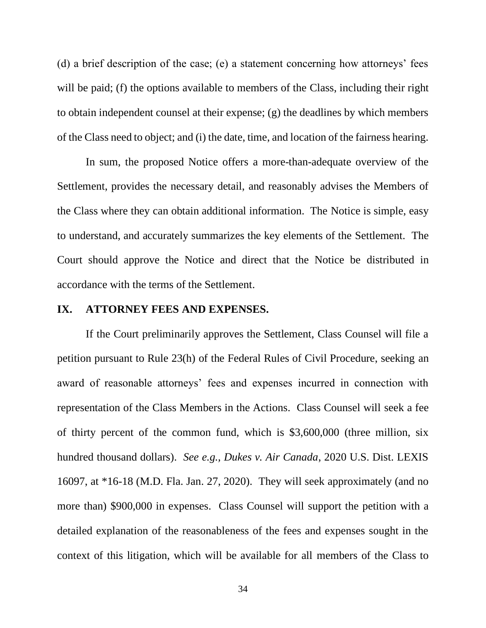(d) a brief description of the case; (e) a statement concerning how attorneys' fees will be paid; (f) the options available to members of the Class, including their right to obtain independent counsel at their expense; (g) the deadlines by which members of the Class need to object; and (i) the date, time, and location of the fairness hearing.

In sum, the proposed Notice offers a more-than-adequate overview of the Settlement, provides the necessary detail, and reasonably advises the Members of the Class where they can obtain additional information. The Notice is simple, easy to understand, and accurately summarizes the key elements of the Settlement. The Court should approve the Notice and direct that the Notice be distributed in accordance with the terms of the Settlement.

#### **IX. ATTORNEY FEES AND EXPENSES.**

If the Court preliminarily approves the Settlement, Class Counsel will file a petition pursuant to Rule 23(h) of the Federal Rules of Civil Procedure, seeking an award of reasonable attorneys' fees and expenses incurred in connection with representation of the Class Members in the Actions. Class Counsel will seek a fee of thirty percent of the common fund, which is \$3,600,000 (three million, six hundred thousand dollars). *See e.g., Dukes v. Air Canada*, 2020 U.S. Dist. LEXIS 16097, at \*16-18 (M.D. Fla. Jan. 27, 2020). They will seek approximately (and no more than) \$900,000 in expenses. Class Counsel will support the petition with a detailed explanation of the reasonableness of the fees and expenses sought in the context of this litigation, which will be available for all members of the Class to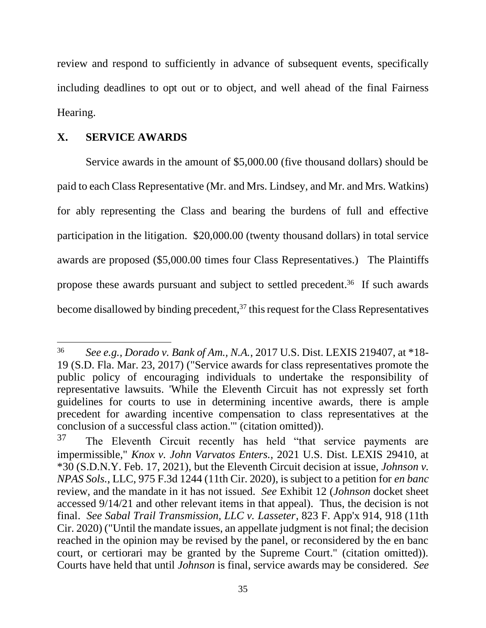review and respond to sufficiently in advance of subsequent events, specifically including deadlines to opt out or to object, and well ahead of the final Fairness Hearing.

### **X. SERVICE AWARDS**

Service awards in the amount of \$5,000.00 (five thousand dollars) should be paid to each Class Representative (Mr. and Mrs. Lindsey, and Mr. and Mrs. Watkins) for ably representing the Class and bearing the burdens of full and effective participation in the litigation. \$20,000.00 (twenty thousand dollars) in total service awards are proposed (\$5,000.00 times four Class Representatives.) The Plaintiffs propose these awards pursuant and subject to settled precedent. 36 If such awards become disallowed by binding precedent,<sup>37</sup> this request for the Class Representatives

<sup>36</sup> *See e.g., Dorado v. Bank of Am., N.A.*, 2017 U.S. Dist. LEXIS 219407, at \*18- 19 (S.D. Fla. Mar. 23, 2017) ("Service awards for class representatives promote the public policy of encouraging individuals to undertake the responsibility of representative lawsuits. 'While the Eleventh Circuit has not expressly set forth guidelines for courts to use in determining incentive awards, there is ample precedent for awarding incentive compensation to class representatives at the conclusion of a successful class action.'" (citation omitted)).

<sup>&</sup>lt;sup>37</sup> The Eleventh Circuit recently has held "that service payments are impermissible," *Knox v. John Varvatos Enters.*, 2021 U.S. Dist. LEXIS 29410, at \*30 (S.D.N.Y. Feb. 17, 2021), but the Eleventh Circuit decision at issue, *Johnson v. NPAS Sols.*, LLC, 975 F.3d 1244 (11th Cir. 2020), is subject to a petition for *en banc* review, and the mandate in it has not issued. *See* Exhibit 12 (*Johnson* docket sheet accessed 9/14/21 and other relevant items in that appeal). Thus, the decision is not final. *See Sabal Trail Transmission, LLC v. Lasseter*, 823 F. App'x 914, 918 (11th Cir. 2020) ("Until the mandate issues, an appellate judgment is not final; the decision reached in the opinion may be revised by the panel, or reconsidered by the en banc court, or certiorari may be granted by the Supreme Court." (citation omitted)). Courts have held that until *Johnson* is final, service awards may be considered. *See*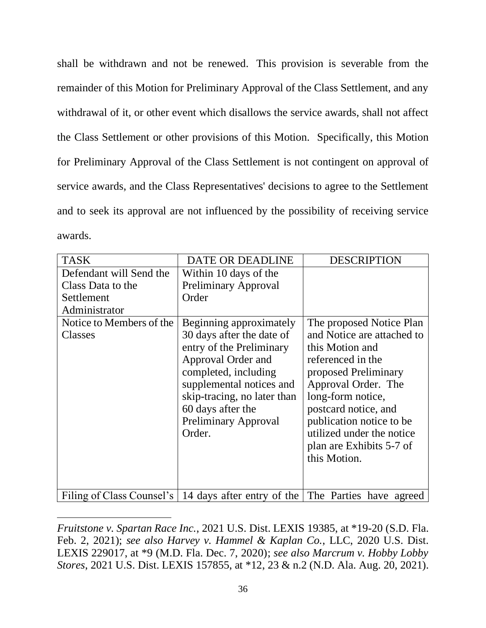shall be withdrawn and not be renewed. This provision is severable from the remainder of this Motion for Preliminary Approval of the Class Settlement, and any withdrawal of it, or other event which disallows the service awards, shall not affect the Class Settlement or other provisions of this Motion. Specifically, this Motion for Preliminary Approval of the Class Settlement is not contingent on approval of service awards, and the Class Representatives' decisions to agree to the Settlement and to seek its approval are not influenced by the possibility of receiving service awards.

| <b>TASK</b>               | DATE OR DEADLINE                                   | <b>DESCRIPTION</b>         |
|---------------------------|----------------------------------------------------|----------------------------|
| Defendant will Send the   | Within 10 days of the                              |                            |
| Class Data to the         | <b>Preliminary Approval</b>                        |                            |
| Settlement                | Order                                              |                            |
| Administrator             |                                                    |                            |
| Notice to Members of the  | Beginning approximately                            | The proposed Notice Plan   |
| Classes                   | 30 days after the date of                          | and Notice are attached to |
|                           | entry of the Preliminary                           | this Motion and            |
|                           | Approval Order and                                 | referenced in the          |
|                           | completed, including                               | proposed Preliminary       |
|                           | supplemental notices and                           | Approval Order. The        |
|                           | skip-tracing, no later than                        | long-form notice,          |
|                           | 60 days after the                                  | postcard notice, and       |
|                           | <b>Preliminary Approval</b>                        | publication notice to be   |
|                           | Order.                                             | utilized under the notice  |
|                           |                                                    | plan are Exhibits 5-7 of   |
|                           |                                                    | this Motion.               |
|                           |                                                    |                            |
|                           |                                                    |                            |
| Filing of Class Counsel's | 14 days after entry of the The Parties have agreed |                            |

*Fruitstone v. Spartan Race Inc.*, 2021 U.S. Dist. LEXIS 19385, at \*19-20 (S.D. Fla. Feb. 2, 2021); *see also Harvey v. Hammel & Kaplan Co.*, LLC, 2020 U.S. Dist. LEXIS 229017, at \*9 (M.D. Fla. Dec. 7, 2020); *see also Marcrum v. Hobby Lobby Stores*, 2021 U.S. Dist. LEXIS 157855, at \*12, 23 & n.2 (N.D. Ala. Aug. 20, 2021).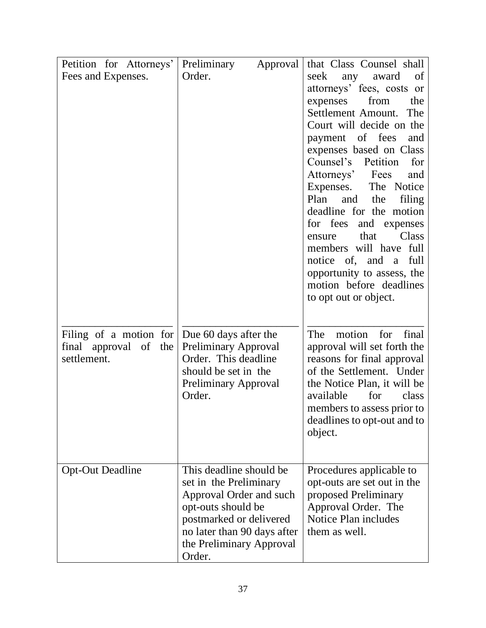| Petition for Attorneys' | Preliminary<br>Approval     | that Class Counsel shall                                |
|-------------------------|-----------------------------|---------------------------------------------------------|
| Fees and Expenses.      | Order.                      | seek<br>award<br>of<br>any                              |
|                         |                             | attorneys' fees, costs or                               |
|                         |                             | expenses<br>from<br>the                                 |
|                         |                             | Settlement Amount.<br>The                               |
|                         |                             | Court will decide on the                                |
|                         |                             | payment of fees<br>and                                  |
|                         |                             | expenses based on Class                                 |
|                         |                             | Counsel's Petition<br>for                               |
|                         |                             | Attorneys' Fees<br>and                                  |
|                         |                             | Expenses. The Notice                                    |
|                         |                             | and<br>Plan<br>the<br>filing                            |
|                         |                             | deadline for the motion                                 |
|                         |                             | for fees and expenses                                   |
|                         |                             | that<br>Class<br>ensure                                 |
|                         |                             | members will have full                                  |
|                         |                             | notice of, and a<br>full                                |
|                         |                             | opportunity to assess, the                              |
|                         |                             | motion before deadlines                                 |
|                         |                             | to opt out or object.                                   |
|                         |                             |                                                         |
|                         |                             |                                                         |
| Filing of a motion for  | Due 60 days after the       | motion for<br>final<br>The                              |
| final approval of the   | <b>Preliminary Approval</b> | approval will set forth the                             |
| settlement.             | Order. This deadline        | reasons for final approval                              |
|                         | should be set in the        | of the Settlement. Under                                |
|                         | <b>Preliminary Approval</b> | the Notice Plan, it will be                             |
|                         | Order.                      | for<br>available<br>class                               |
|                         |                             | members to assess prior to                              |
|                         |                             | deadlines to opt-out and to                             |
|                         |                             | object.                                                 |
|                         |                             |                                                         |
| <b>Opt-Out Deadline</b> | This deadline should be.    |                                                         |
|                         | set in the Preliminary      | Procedures applicable to<br>opt-outs are set out in the |
|                         | Approval Order and such     | proposed Preliminary                                    |
|                         | opt-outs should be          | Approval Order. The                                     |
|                         | postmarked or delivered     | Notice Plan includes                                    |
|                         | no later than 90 days after | them as well.                                           |
|                         | the Preliminary Approval    |                                                         |
|                         | Order.                      |                                                         |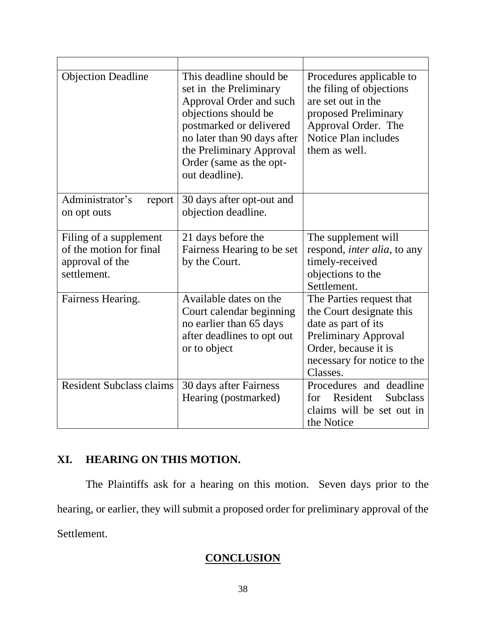| <b>Objection Deadline</b>                                                           | This deadline should be<br>set in the Preliminary<br>Approval Order and such<br>objections should be<br>postmarked or delivered<br>no later than 90 days after<br>the Preliminary Approval<br>Order (same as the opt-<br>out deadline). | Procedures applicable to<br>the filing of objections<br>are set out in the<br>proposed Preliminary<br>Approval Order. The<br>Notice Plan includes<br>them as well.            |
|-------------------------------------------------------------------------------------|-----------------------------------------------------------------------------------------------------------------------------------------------------------------------------------------------------------------------------------------|-------------------------------------------------------------------------------------------------------------------------------------------------------------------------------|
| Administrator's<br>report<br>on opt outs                                            | 30 days after opt-out and<br>objection deadline.                                                                                                                                                                                        |                                                                                                                                                                               |
| Filing of a supplement<br>of the motion for final<br>approval of the<br>settlement. | 21 days before the<br>Fairness Hearing to be set<br>by the Court.                                                                                                                                                                       | The supplement will<br>respond, <i>inter alia</i> , to any<br>timely-received<br>objections to the<br>Settlement.                                                             |
| Fairness Hearing.                                                                   | Available dates on the<br>Court calendar beginning<br>no earlier than 65 days<br>after deadlines to opt out<br>or to object                                                                                                             | The Parties request that<br>the Court designate this<br>date as part of its<br><b>Preliminary Approval</b><br>Order, because it is<br>necessary for notice to the<br>Classes. |
| <b>Resident Subclass claims</b>                                                     | 30 days after Fairness<br>Hearing (postmarked)                                                                                                                                                                                          | Procedures and deadline<br>for Resident<br><b>Subclass</b><br>claims will be set out in<br>the Notice                                                                         |

## **XI. HEARING ON THIS MOTION.**

The Plaintiffs ask for a hearing on this motion. Seven days prior to the hearing, or earlier, they will submit a proposed order for preliminary approval of the Settlement.

## **CONCLUSION**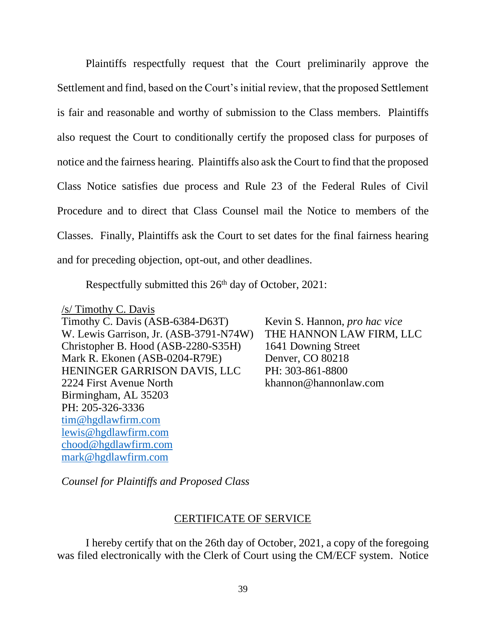Plaintiffs respectfully request that the Court preliminarily approve the Settlement and find, based on the Court's initial review, that the proposed Settlement is fair and reasonable and worthy of submission to the Class members. Plaintiffs also request the Court to conditionally certify the proposed class for purposes of notice and the fairness hearing. Plaintiffs also ask the Court to find that the proposed Class Notice satisfies due process and Rule 23 of the Federal Rules of Civil Procedure and to direct that Class Counsel mail the Notice to members of the Classes. Finally, Plaintiffs ask the Court to set dates for the final fairness hearing and for preceding objection, opt-out, and other deadlines.

Respectfully submitted this 26<sup>th</sup> day of October, 2021:

/s/ Timothy C. Davis Timothy C. Davis (ASB-6384-D63T) W. Lewis Garrison, Jr. (ASB-3791-N74W) Christopher B. Hood (ASB-2280-S35H) Mark R. Ekonen (ASB-0204-R79E) HENINGER GARRISON DAVIS, LLC 2224 First Avenue North Birmingham, AL 35203 PH: 205-326-3336 [tim@hgdlawfirm.com](mailto:tim@hgdlawfirm.com) [lewis@hgdlawfirm.com](mailto:lewis@hgdlawfirm.com) [chood@hgdlawfirm.com](mailto:chood@hgdlawfirm.com) [mark@hgdlawfirm.com](mailto:mark@hgdlawfirm.com)

Kevin S. Hannon, *pro hac vice* THE HANNON LAW FIRM, LLC 1641 Downing Street Denver, CO 80218 PH: 303-861-8800 khannon@hannonlaw.com

*Counsel for Plaintiffs and Proposed Class*

## CERTIFICATE OF SERVICE

I hereby certify that on the 26th day of October, 2021, a copy of the foregoing was filed electronically with the Clerk of Court using the CM/ECF system. Notice